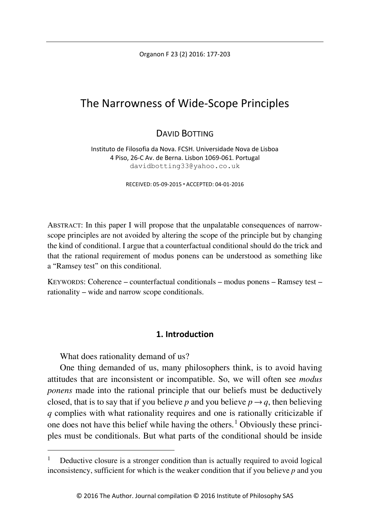Organon F 23 (2) 2016: 177-203

# The Narrowness of Wide-Scope Principles

## DAVID BOTTING

Instituto de Filosofia da Nova. FCSH. Universidade Nova de Lisboa 4 Piso, 26-C Av. de Berna. Lisbon 1069-061. Portugal davidbotting33@yahoo.co.uk

RECEIVED: 05-09-2015 ACCEPTED: 04-01-2016

ABSTRACT: In this paper I will propose that the unpalatable consequences of narrowscope principles are not avoided by altering the scope of the principle but by changing the kind of conditional. I argue that a counterfactual conditional should do the trick and that the rational requirement of modus ponens can be understood as something like a "Ramsey test" on this conditional.

KEYWORDS: Coherence – counterfactual conditionals – modus ponens – Ramsey test – rationality – wide and narrow scope conditionals.

### **1. Introduction**

What does rationality demand of us?

One thing demanded of us, many philosophers think, is to avoid having attitudes that are inconsistent or incompatible. So, we will often see *modus ponens* made into the rational principle that our beliefs must be deductively closed, that is to say that if you believe *p* and you believe  $p \rightarrow q$ , then believing *q* complies with what rationality requires and one is rationally criticizable if one does not have this belief while having the others.<sup>[1](#page-0-0)</sup> Obviously these principles must be conditionals. But what parts of the conditional should be inside

<span id="page-0-0"></span> <sup>1</sup> Deductive closure is a stronger condition than is actually required to avoid logical inconsistency, sufficient for which is the weaker condition that if you believe *p* and you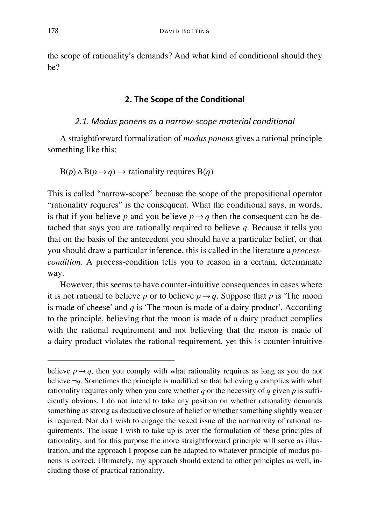the scope of rationality's demands? And what kind of conditional should they be?

#### **2. The Scope of the Conditional**

#### *2.1. Modus ponens as a narrow-scope material conditional*

A straightforward formalization of *modus ponens* gives a rational principle something like this:

$$
B(p) \land B(p \to q) \to \text{rationality requires } B(q)
$$

This is called "narrow-scope" because the scope of the propositional operator "rationality requires" is the consequent. What the conditional says, in words, is that if you believe *p* and you believe  $p \rightarrow q$  then the consequent can be detached that says you are rationally required to believe *q*. Because it tells you that on the basis of the antecedent you should have a particular belief, or that you should draw a particular inference, this is called in the literature a *processcondition*. A process-condition tells you to reason in a certain, determinate way.

However, this seems to have counter-intuitive consequences in cases where it is not rational to believe *p* or to believe  $p \rightarrow q$ . Suppose that *p* is 'The moon is made of cheese' and *q* is 'The moon is made of a dairy product'. According to the principle, believing that the moon is made of a dairy product complies with the rational requirement and not believing that the moon is made of a dairy product violates the rational requirement, yet this is counter-intuitive

believe  $p \rightarrow q$ , then you comply with what rationality requires as long as you do not believe ¬*q*. Sometimes the principle is modified so that believing *q* complies with what rationality requires only when you care whether *q* or the necessity of *q* given *p* is sufficiently obvious. I do not intend to take any position on whether rationality demands something as strong as deductive closure of belief or whether something slightly weaker is required. Nor do I wish to engage the vexed issue of the normativity of rational requirements. The issue I wish to take up is over the formulation of these principles of rationality, and for this purpose the more straightforward principle will serve as illustration, and the approach I propose can be adapted to whatever principle of modus ponens is correct. Ultimately, my approach should extend to other principles as well, including those of practical rationality.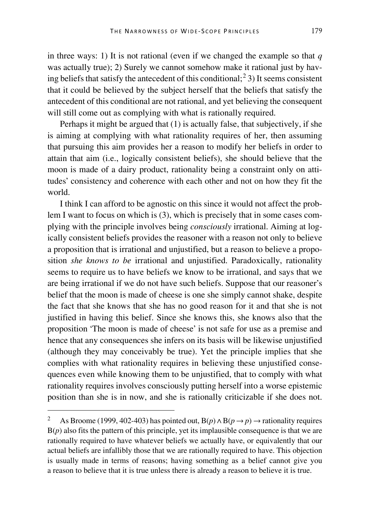in three ways: 1) It is not rational (even if we changed the example so that *q* was actually true); 2) Surely we cannot somehow make it rational just by hav-ing beliefs that satisfy the antecedent of this conditional;<sup>[2](#page-2-0)</sup> 3) It seems consistent that it could be believed by the subject herself that the beliefs that satisfy the antecedent of this conditional are not rational, and yet believing the consequent will still come out as complying with what is rationally required.

Perhaps it might be argued that (1) is actually false, that subjectively, if she is aiming at complying with what rationality requires of her, then assuming that pursuing this aim provides her a reason to modify her beliefs in order to attain that aim (i.e., logically consistent beliefs), she should believe that the moon is made of a dairy product, rationality being a constraint only on attitudes' consistency and coherence with each other and not on how they fit the world.

I think I can afford to be agnostic on this since it would not affect the problem I want to focus on which is (3), which is precisely that in some cases complying with the principle involves being *consciously* irrational. Aiming at logically consistent beliefs provides the reasoner with a reason not only to believe a proposition that is irrational and unjustified, but a reason to believe a proposition *she knows to be* irrational and unjustified. Paradoxically, rationality seems to require us to have beliefs we know to be irrational, and says that we are being irrational if we do not have such beliefs. Suppose that our reasoner's belief that the moon is made of cheese is one she simply cannot shake, despite the fact that she knows that she has no good reason for it and that she is not justified in having this belief. Since she knows this, she knows also that the proposition 'The moon is made of cheese' is not safe for use as a premise and hence that any consequences she infers on its basis will be likewise unjustified (although they may conceivably be true). Yet the principle implies that she complies with what rationality requires in believing these unjustified consequences even while knowing them to be unjustified, that to comply with what rationality requires involves consciously putting herself into a worse epistemic position than she is in now, and she is rationally criticizable if she does not.

<span id="page-2-0"></span>As Broome (1999, 402-403) has pointed out,  $B(p) \wedge B(p \rightarrow p) \rightarrow$  rationality requires  $B(p)$  also fits the pattern of this principle, yet its implausible consequence is that we are rationally required to have whatever beliefs we actually have, or equivalently that our actual beliefs are infallibly those that we are rationally required to have. This objection is usually made in terms of reasons; having something as a belief cannot give you a reason to believe that it is true unless there is already a reason to believe it is true.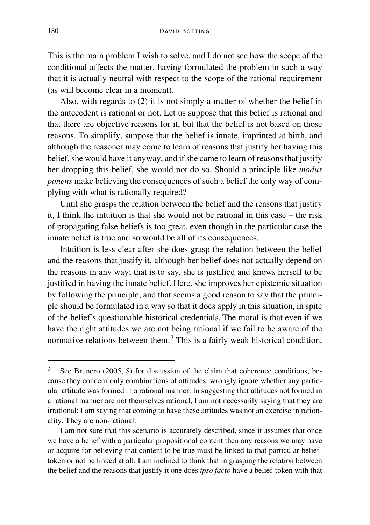This is the main problem I wish to solve, and I do not see how the scope of the conditional affects the matter, having formulated the problem in such a way that it is actually neutral with respect to the scope of the rational requirement (as will become clear in a moment).

Also, with regards to (2) it is not simply a matter of whether the belief in the antecedent is rational or not. Let us suppose that this belief is rational and that there are objective reasons for it, but that the belief is not based on those reasons. To simplify, suppose that the belief is innate, imprinted at birth, and although the reasoner may come to learn of reasons that justify her having this belief, she would have it anyway, and if she came to learn of reasons that justify her dropping this belief, she would not do so. Should a principle like *modus ponens* make believing the consequences of such a belief the only way of complying with what is rationally required?

Until she grasps the relation between the belief and the reasons that justify it, I think the intuition is that she would not be rational in this case – the risk of propagating false beliefs is too great, even though in the particular case the innate belief is true and so would be all of its consequences.

Intuition is less clear after she does grasp the relation between the belief and the reasons that justify it, although her belief does not actually depend on the reasons in any way; that is to say, she is justified and knows herself to be justified in having the innate belief. Here, she improves her epistemic situation by following the principle, and that seems a good reason to say that the principle should be formulated in a way so that it does apply in this situation, in spite of the belief's questionable historical credentials. The moral is that even if we have the right attitudes we are not being rational if we fail to be aware of the normative relations between them. $3$  This is a fairly weak historical condition,

<span id="page-3-0"></span><sup>&</sup>lt;sup>3</sup> See Brunero (2005, 8) for discussion of the claim that coherence conditions, because they concern only combinations of attitudes, wrongly ignore whether any particular attitude was formed in a rational manner. In suggesting that attitudes not formed in a rational manner are not themselves rational, I am not necessarily saying that they are irrational; I am saying that coming to have these attitudes was not an exercise in rationality. They are non-rational.

I am not sure that this scenario is accurately described, since it assumes that once we have a belief with a particular propositional content then any reasons we may have or acquire for believing that content to be true must be linked to that particular belieftoken or not be linked at all. I am inclined to think that in grasping the relation between the belief and the reasons that justify it one does *ipso facto* have a belief-token with that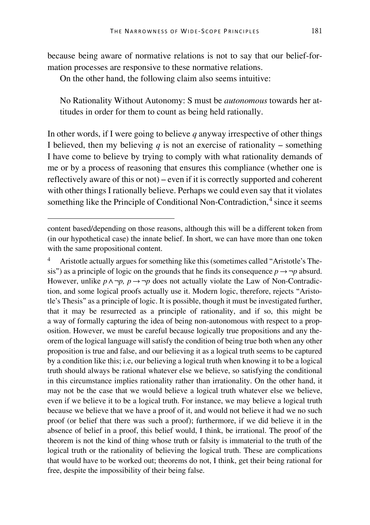because being aware of normative relations is not to say that our belief-formation processes are responsive to these normative relations.

On the other hand, the following claim also seems intuitive:

No Rationality Without Autonomy: S must be *autonomous* towards her attitudes in order for them to count as being held rationally.

In other words, if I were going to believe *q* anyway irrespective of other things I believed, then my believing  $q$  is not an exercise of rationality – something I have come to believe by trying to comply with what rationality demands of me or by a process of reasoning that ensures this compliance (whether one is reflectively aware of this or not) – even if it is correctly supported and coherent with other things I rationally believe. Perhaps we could even say that it violates something like the Principle of Conditional Non-Contradiction, $\frac{4}{3}$  $\frac{4}{3}$  $\frac{4}{3}$  since it seems

Ĩ

<span id="page-4-0"></span><sup>4</sup> Aristotle actually argues for something like this (sometimes called "Aristotle's Thesis") as a principle of logic on the grounds that he finds its consequence  $p \rightarrow \neg p$  absurd. However, unlike  $p \land \neg p$ ,  $p \rightarrow \neg p$  does not actually violate the Law of Non-Contradiction, and some logical proofs actually use it. Modern logic, therefore, rejects "Aristotle's Thesis" as a principle of logic. It is possible, though it must be investigated further, that it may be resurrected as a principle of rationality, and if so, this might be a way of formally capturing the idea of being non-autonomous with respect to a proposition. However, we must be careful because logically true propositions and any theorem of the logical language will satisfy the condition of being true both when any other proposition is true and false, and our believing it as a logical truth seems to be captured by a condition like this; i.e, our believing a logical truth when knowing it to be a logical truth should always be rational whatever else we believe, so satisfying the conditional in this circumstance implies rationality rather than irrationality. On the other hand, it may not be the case that we would believe a logical truth whatever else we believe, even if we believe it to be a logical truth. For instance, we may believe a logical truth because we believe that we have a proof of it, and would not believe it had we no such proof (or belief that there was such a proof); furthermore, if we did believe it in the absence of belief in a proof, this belief would, I think, be irrational. The proof of the theorem is not the kind of thing whose truth or falsity is immaterial to the truth of the logical truth or the rationality of believing the logical truth. These are complications that would have to be worked out; theorems do not, I think, get their being rational for free, despite the impossibility of their being false.

content based/depending on those reasons, although this will be a different token from (in our hypothetical case) the innate belief. In short, we can have more than one token with the same propositional content.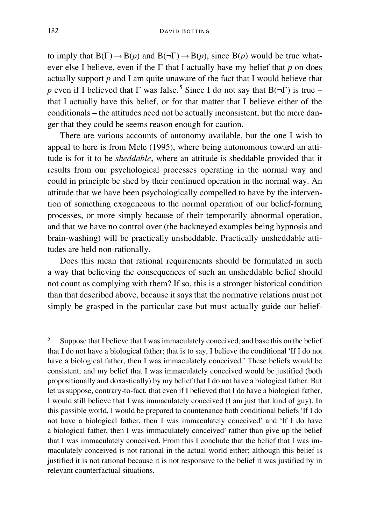to imply that  $B(\Gamma) \to B(p)$  and  $B(\neg \Gamma) \to B(p)$ , since  $B(p)$  would be true whatever else I believe, even if the Γ that I actually base my belief that *p* on does actually support *p* and I am quite unaware of the fact that I would believe that *p* even if I believed that  $\Gamma$  was false.<sup>[5](#page-5-0)</sup> Since I do not say that  $B(\neg \Gamma)$  is true – that I actually have this belief, or for that matter that I believe either of the conditionals – the attitudes need not be actually inconsistent, but the mere danger that they could be seems reason enough for caution.

There are various accounts of autonomy available, but the one I wish to appeal to here is from Mele (1995), where being autonomous toward an attitude is for it to be *sheddable*, where an attitude is sheddable provided that it results from our psychological processes operating in the normal way and could in principle be shed by their continued operation in the normal way. An attitude that we have been psychologically compelled to have by the intervention of something exogeneous to the normal operation of our belief-forming processes, or more simply because of their temporarily abnormal operation, and that we have no control over (the hackneyed examples being hypnosis and brain-washing) will be practically unsheddable. Practically unsheddable attitudes are held non-rationally.

Does this mean that rational requirements should be formulated in such a way that believing the consequences of such an unsheddable belief should not count as complying with them? If so, this is a stronger historical condition than that described above, because it says that the normative relations must not simply be grasped in the particular case but must actually guide our belief-

<span id="page-5-0"></span><sup>&</sup>lt;sup>5</sup> Suppose that I believe that I was immaculately conceived, and base this on the belief that I do not have a biological father; that is to say, I believe the conditional 'If I do not have a biological father, then I was immaculately conceived.' These beliefs would be consistent, and my belief that I was immaculately conceived would be justified (both propositionally and doxastically) by my belief that I do not have a biological father. But let us suppose, contrary-to-fact, that even if I believed that I do have a biological father, I would still believe that I was immaculately conceived (I am just that kind of guy). In this possible world, I would be prepared to countenance both conditional beliefs 'If I do not have a biological father, then I was immaculately conceived' and 'If I do have a biological father, then I was immaculately conceived' rather than give up the belief that I was immaculately conceived. From this I conclude that the belief that I was immaculately conceived is not rational in the actual world either; although this belief is justified it is not rational because it is not responsive to the belief it was justified by in relevant counterfactual situations.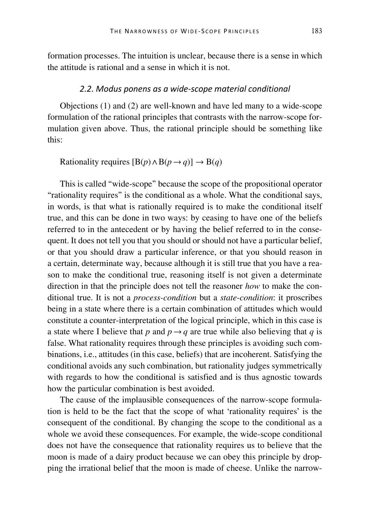formation processes. The intuition is unclear, because there is a sense in which the attitude is rational and a sense in which it is not.

#### *2.2. Modus ponens as a wide-scope material conditional*

Objections (1) and (2) are well-known and have led many to a wide-scope formulation of the rational principles that contrasts with the narrow-scope formulation given above. Thus, the rational principle should be something like this:

Rationality requires  $[B(p) \land B(p \rightarrow q)] \rightarrow B(q)$ 

This is called "wide-scope" because the scope of the propositional operator "rationality requires" is the conditional as a whole. What the conditional says, in words, is that what is rationally required is to make the conditional itself true, and this can be done in two ways: by ceasing to have one of the beliefs referred to in the antecedent or by having the belief referred to in the consequent. It does not tell you that you should or should not have a particular belief, or that you should draw a particular inference, or that you should reason in a certain, determinate way, because although it is still true that you have a reason to make the conditional true, reasoning itself is not given a determinate direction in that the principle does not tell the reasoner *how* to make the conditional true. It is not a *process-condition* but a *state-condition*: it proscribes being in a state where there is a certain combination of attitudes which would constitute a counter-interpretation of the logical principle, which in this case is a state where I believe that *p* and  $p \rightarrow q$  are true while also believing that *q* is false. What rationality requires through these principles is avoiding such combinations, i.e., attitudes (in this case, beliefs) that are incoherent. Satisfying the conditional avoids any such combination, but rationality judges symmetrically with regards to how the conditional is satisfied and is thus agnostic towards how the particular combination is best avoided.

The cause of the implausible consequences of the narrow-scope formulation is held to be the fact that the scope of what 'rationality requires' is the consequent of the conditional. By changing the scope to the conditional as a whole we avoid these consequences. For example, the wide-scope conditional does not have the consequence that rationality requires us to believe that the moon is made of a dairy product because we can obey this principle by dropping the irrational belief that the moon is made of cheese. Unlike the narrow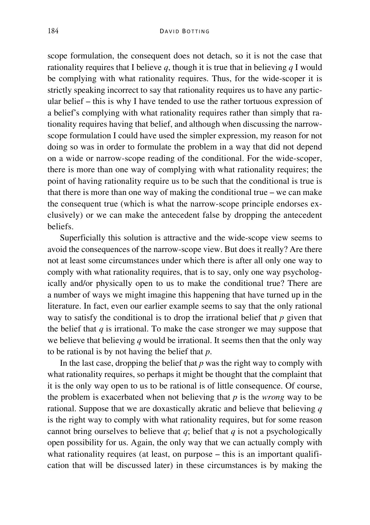scope formulation, the consequent does not detach, so it is not the case that rationality requires that I believe *q*, though it is true that in believing *q* I would be complying with what rationality requires. Thus, for the wide-scoper it is strictly speaking incorrect to say that rationality requires us to have any particular belief – this is why I have tended to use the rather tortuous expression of a belief's complying with what rationality requires rather than simply that rationality requires having that belief, and although when discussing the narrowscope formulation I could have used the simpler expression, my reason for not doing so was in order to formulate the problem in a way that did not depend on a wide or narrow-scope reading of the conditional. For the wide-scoper, there is more than one way of complying with what rationality requires; the point of having rationality require us to be such that the conditional is true is that there is more than one way of making the conditional true – we can make the consequent true (which is what the narrow-scope principle endorses exclusively) or we can make the antecedent false by dropping the antecedent beliefs.

Superficially this solution is attractive and the wide-scope view seems to avoid the consequences of the narrow-scope view. But does it really? Are there not at least some circumstances under which there is after all only one way to comply with what rationality requires, that is to say, only one way psychologically and/or physically open to us to make the conditional true? There are a number of ways we might imagine this happening that have turned up in the literature. In fact, even our earlier example seems to say that the only rational way to satisfy the conditional is to drop the irrational belief that *p* given that the belief that  $q$  is irrational. To make the case stronger we may suppose that we believe that believing *q* would be irrational. It seems then that the only way to be rational is by not having the belief that *p*.

In the last case, dropping the belief that  $p$  was the right way to comply with what rationality requires, so perhaps it might be thought that the complaint that it is the only way open to us to be rational is of little consequence. Of course, the problem is exacerbated when not believing that *p* is the *wrong* way to be rational. Suppose that we are doxastically akratic and believe that believing *q* is the right way to comply with what rationality requires, but for some reason cannot bring ourselves to believe that *q*; belief that *q* is not a psychologically open possibility for us. Again, the only way that we can actually comply with what rationality requires (at least, on purpose – this is an important qualification that will be discussed later) in these circumstances is by making the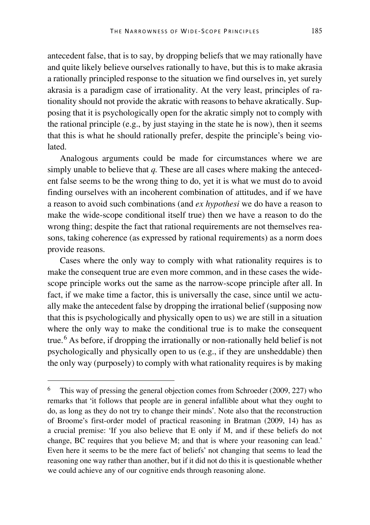antecedent false, that is to say, by dropping beliefs that we may rationally have and quite likely believe ourselves rationally to have, but this is to make akrasia a rationally principled response to the situation we find ourselves in, yet surely akrasia is a paradigm case of irrationality. At the very least, principles of rationality should not provide the akratic with reasons to behave akratically. Supposing that it is psychologically open for the akratic simply not to comply with the rational principle (e.g., by just staying in the state he is now), then it seems that this is what he should rationally prefer, despite the principle's being violated.

Analogous arguments could be made for circumstances where we are simply unable to believe that *q.* These are all cases where making the antecedent false seems to be the wrong thing to do, yet it is what we must do to avoid finding ourselves with an incoherent combination of attitudes, and if we have a reason to avoid such combinations (and *ex hypothesi* we do have a reason to make the wide-scope conditional itself true) then we have a reason to do the wrong thing; despite the fact that rational requirements are not themselves reasons, taking coherence (as expressed by rational requirements) as a norm does provide reasons.

Cases where the only way to comply with what rationality requires is to make the consequent true are even more common, and in these cases the widescope principle works out the same as the narrow-scope principle after all. In fact, if we make time a factor, this is universally the case, since until we actually make the antecedent false by dropping the irrational belief (supposing now that this is psychologically and physically open to us) we are still in a situation where the only way to make the conditional true is to make the consequent true.<sup>[6](#page-8-0)</sup> As before, if dropping the irrationally or non-rationally held belief is not psychologically and physically open to us (e.g., if they are unsheddable) then the only way (purposely) to comply with what rationality requires is by making

<span id="page-8-0"></span><sup>&</sup>lt;sup>6</sup> This way of pressing the general objection comes from Schroeder (2009, 227) who remarks that 'it follows that people are in general infallible about what they ought to do, as long as they do not try to change their minds'. Note also that the reconstruction of Broome's first-order model of practical reasoning in Bratman (2009, 14) has as a crucial premise: 'If you also believe that E only if M, and if these beliefs do not change, BC requires that you believe M; and that is where your reasoning can lead.' Even here it seems to be the mere fact of beliefs' not changing that seems to lead the reasoning one way rather than another, but if it did not do this it is questionable whether we could achieve any of our cognitive ends through reasoning alone.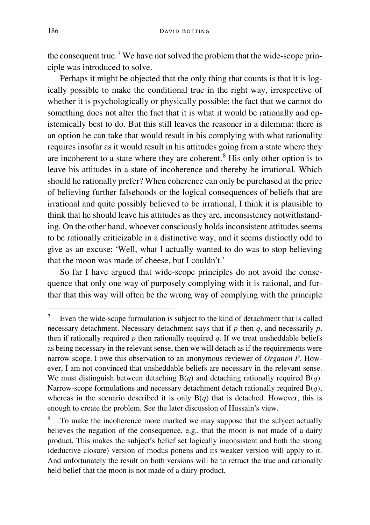the consequent true.<sup>[7](#page-9-0)</sup> We have not solved the problem that the wide-scope principle was introduced to solve.

Perhaps it might be objected that the only thing that counts is that it is logically possible to make the conditional true in the right way, irrespective of whether it is psychologically or physically possible; the fact that we cannot do something does not alter the fact that it is what it would be rationally and epistemically best to do. But this still leaves the reasoner in a dilemma: there is an option he can take that would result in his complying with what rationality requires insofar as it would result in his attitudes going from a state where they are incoherent to a state where they are coherent.<sup>[8](#page-9-1)</sup> His only other option is to leave his attitudes in a state of incoherence and thereby be irrational. Which should he rationally prefer? When coherence can only be purchased at the price of believing further falsehoods or the logical consequences of beliefs that are irrational and quite possibly believed to be irrational, I think it is plausible to think that he should leave his attitudes as they are, inconsistency notwithstanding. On the other hand, whoever consciously holds inconsistent attitudes seems to be rationally criticizable in a distinctive way, and it seems distinctly odd to give as an excuse: 'Well, what I actually wanted to do was to stop believing that the moon was made of cheese, but I couldn't.'

So far I have argued that wide-scope principles do not avoid the consequence that only one way of purposely complying with it is rational, and further that this way will often be the wrong way of complying with the principle

<span id="page-9-0"></span> <sup>7</sup> Even the wide-scope formulation is subject to the kind of detachment that is called necessary detachment. Necessary detachment says that if  $p$  then  $q$ , and necessarily  $p$ , then if rationally required  $p$  then rationally required  $q$ . If we treat unsheddable beliefs as being necessary in the relevant sense, then we will detach as if the requirements were narrow scope. I owe this observation to an anonymous reviewer of *Organon F*. However, I am not convinced that unsheddable beliefs are necessary in the relevant sense. We must distinguish between detaching B(*q*) and detaching rationally required B(*q*). Narrow-scope formulations and necessary detachment detach rationally required B(*q*), whereas in the scenario described it is only  $B(q)$  that is detached. However, this is enough to create the problem. See the later discussion of Hussain's view.

<span id="page-9-1"></span>To make the incoherence more marked we may suppose that the subject actually believes the negation of the consequence, e.g., that the moon is not made of a dairy product. This makes the subject's belief set logically inconsistent and both the strong (deductive closure) version of modus ponens and its weaker version will apply to it. And unfortunately the result on both versions will be to retract the true and rationally held belief that the moon is not made of a dairy product.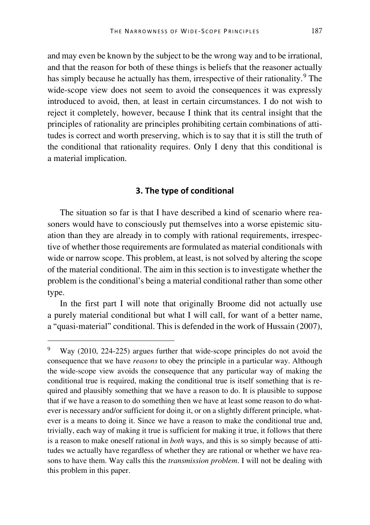and may even be known by the subject to be the wrong way and to be irrational, and that the reason for both of these things is beliefs that the reasoner actually has simply because he actually has them, irrespective of their rationality.<sup>[9](#page-10-0)</sup> The wide-scope view does not seem to avoid the consequences it was expressly introduced to avoid, then, at least in certain circumstances. I do not wish to reject it completely, however, because I think that its central insight that the principles of rationality are principles prohibiting certain combinations of attitudes is correct and worth preserving, which is to say that it is still the truth of the conditional that rationality requires. Only I deny that this conditional is a material implication.

### **3. The type of conditional**

The situation so far is that I have described a kind of scenario where reasoners would have to consciously put themselves into a worse epistemic situation than they are already in to comply with rational requirements, irrespective of whether those requirements are formulated as material conditionals with wide or narrow scope. This problem, at least, is not solved by altering the scope of the material conditional. The aim in this section is to investigate whether the problem is the conditional's being a material conditional rather than some other type.

In the first part I will note that originally Broome did not actually use a purely material conditional but what I will call, for want of a better name, a "quasi-material" conditional. This is defended in the work of Hussain (2007),

<span id="page-10-0"></span>Way (2010, 224-225) argues further that wide-scope principles do not avoid the consequence that we have *reasons* to obey the principle in a particular way. Although the wide-scope view avoids the consequence that any particular way of making the conditional true is required, making the conditional true is itself something that is required and plausibly something that we have a reason to do. It is plausible to suppose that if we have a reason to do something then we have at least some reason to do whatever is necessary and/or sufficient for doing it, or on a slightly different principle, whatever is a means to doing it. Since we have a reason to make the conditional true and, trivially, each way of making it true is sufficient for making it true, it follows that there is a reason to make oneself rational in *both* ways, and this is so simply because of attitudes we actually have regardless of whether they are rational or whether we have reasons to have them. Way calls this the *transmission problem*. I will not be dealing with this problem in this paper.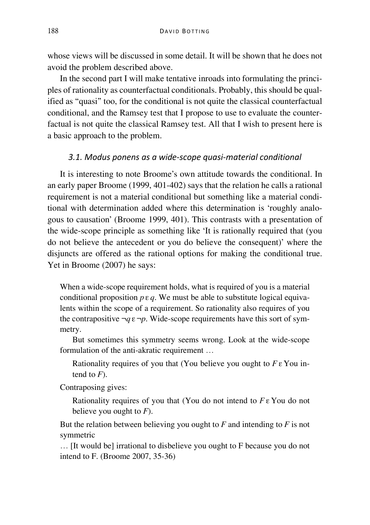whose views will be discussed in some detail. It will be shown that he does not avoid the problem described above.

In the second part I will make tentative inroads into formulating the principles of rationality as counterfactual conditionals. Probably, this should be qualified as "quasi" too, for the conditional is not quite the classical counterfactual conditional, and the Ramsey test that I propose to use to evaluate the counterfactual is not quite the classical Ramsey test. All that I wish to present here is a basic approach to the problem.

#### *3.1. Modus ponens as a wide-scope quasi-material conditional*

It is interesting to note Broome's own attitude towards the conditional. In an early paper Broome (1999, 401-402) says that the relation he calls a rational requirement is not a material conditional but something like a material conditional with determination added where this determination is 'roughly analogous to causation' (Broome 1999, 401). This contrasts with a presentation of the wide-scope principle as something like 'It is rationally required that (you do not believe the antecedent or you do believe the consequent)' where the disjuncts are offered as the rational options for making the conditional true. Yet in Broome (2007) he says:

When a wide-scope requirement holds, what is required of you is a material conditional proposition  $p \in q$ . We must be able to substitute logical equivalents within the scope of a requirement. So rationality also requires of you the contrapositive  $\neg q \varepsilon \neg p$ . Wide-scope requirements have this sort of symmetry.

But sometimes this symmetry seems wrong. Look at the wide-scope formulation of the anti-akratic requirement …

Rationality requires of you that (You believe you ought to *F* ε You intend to *F*).

Contraposing gives:

Rationality requires of you that (You do not intend to *F* ε You do not believe you ought to *F*).

But the relation between believing you ought to *F* and intending to *F* is not symmetric

… [It would be] irrational to disbelieve you ought to F because you do not intend to F. (Broome 2007, 35-36)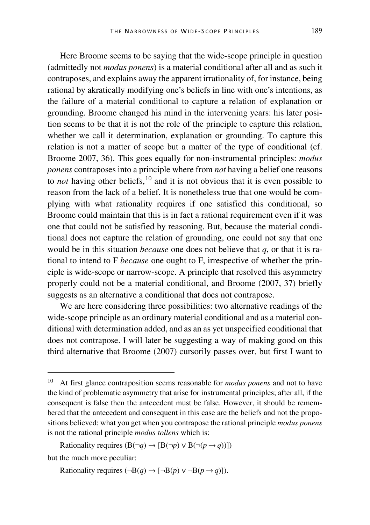Here Broome seems to be saying that the wide-scope principle in question (admittedly not *modus ponens*) is a material conditional after all and as such it contraposes, and explains away the apparent irrationality of, for instance, being rational by akratically modifying one's beliefs in line with one's intentions, as the failure of a material conditional to capture a relation of explanation or grounding. Broome changed his mind in the intervening years: his later position seems to be that it is not the role of the principle to capture this relation, whether we call it determination, explanation or grounding. To capture this relation is not a matter of scope but a matter of the type of conditional (cf. Broome 2007, 36). This goes equally for non-instrumental principles: *modus ponens* contraposes into a principle where from *not* having a belief one reasons to *not* having other beliefs,<sup>[10](#page-12-0)</sup> and it is not obvious that it is even possible to reason from the lack of a belief. It is nonetheless true that one would be complying with what rationality requires if one satisfied this conditional, so Broome could maintain that this is in fact a rational requirement even if it was one that could not be satisfied by reasoning. But, because the material conditional does not capture the relation of grounding, one could not say that one would be in this situation *because* one does not believe that *q*, or that it is rational to intend to F *because* one ought to F, irrespective of whether the principle is wide-scope or narrow-scope. A principle that resolved this asymmetry properly could not be a material conditional, and Broome (2007, 37) briefly suggests as an alternative a conditional that does not contrapose.

We are here considering three possibilities: two alternative readings of the wide-scope principle as an ordinary material conditional and as a material conditional with determination added, and as an as yet unspecified conditional that does not contrapose. I will later be suggesting a way of making good on this third alternative that Broome (2007) cursorily passes over, but first I want to

Rationality requires  $(B(\neg q) \rightarrow [B(\neg p) \lor B(\neg (p \rightarrow q))])$ but the much more peculiar:

Rationality requires (¬B $(q) \rightarrow \lceil \neg B(p) \vee \neg B(p \rightarrow q) \rceil$ ).

<span id="page-12-0"></span> <sup>10</sup> At first glance contraposition seems reasonable for *modus ponens* and not to have the kind of problematic asymmetry that arise for instrumental principles; after all, if the consequent is false then the antecedent must be false. However, it should be remembered that the antecedent and consequent in this case are the beliefs and not the propositions believed; what you get when you contrapose the rational principle *modus ponens* is not the rational principle *modus tollens* which is: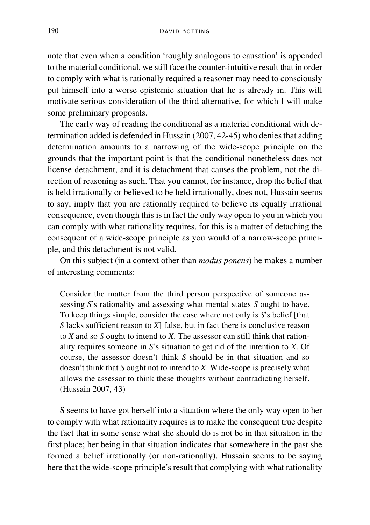note that even when a condition 'roughly analogous to causation' is appended to the material conditional, we still face the counter-intuitive result that in order to comply with what is rationally required a reasoner may need to consciously put himself into a worse epistemic situation that he is already in. This will motivate serious consideration of the third alternative, for which I will make some preliminary proposals.

The early way of reading the conditional as a material conditional with determination added is defended in Hussain (2007, 42-45) who denies that adding determination amounts to a narrowing of the wide-scope principle on the grounds that the important point is that the conditional nonetheless does not license detachment, and it is detachment that causes the problem, not the direction of reasoning as such. That you cannot, for instance, drop the belief that is held irrationally or believed to be held irrationally, does not, Hussain seems to say, imply that you are rationally required to believe its equally irrational consequence, even though this is in fact the only way open to you in which you can comply with what rationality requires, for this is a matter of detaching the consequent of a wide-scope principle as you would of a narrow-scope principle, and this detachment is not valid.

On this subject (in a context other than *modus ponens*) he makes a number of interesting comments:

Consider the matter from the third person perspective of someone assessing *S*'s rationality and assessing what mental states *S* ought to have. To keep things simple, consider the case where not only is *S*'s belief [that *S* lacks sufficient reason to *X*] false, but in fact there is conclusive reason to *X* and so *S* ought to intend to *X*. The assessor can still think that rationality requires someone in *S*'s situation to get rid of the intention to *X*. Of course, the assessor doesn't think *S* should be in that situation and so doesn't think that *S* ought not to intend to *X*. Wide-scope is precisely what allows the assessor to think these thoughts without contradicting herself. (Hussain 2007, 43)

S seems to have got herself into a situation where the only way open to her to comply with what rationality requires is to make the consequent true despite the fact that in some sense what she should do is not be in that situation in the first place; her being in that situation indicates that somewhere in the past she formed a belief irrationally (or non-rationally). Hussain seems to be saying here that the wide-scope principle's result that complying with what rationality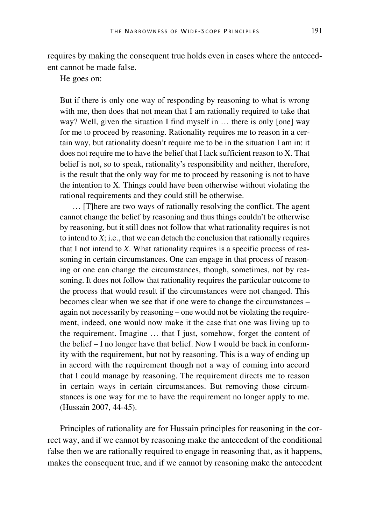requires by making the consequent true holds even in cases where the antecedent cannot be made false.

He goes on:

But if there is only one way of responding by reasoning to what is wrong with me, then does that not mean that I am rationally required to take that way? Well, given the situation I find myself in ... there is only [one] way for me to proceed by reasoning. Rationality requires me to reason in a certain way, but rationality doesn't require me to be in the situation I am in: it does not require me to have the belief that I lack sufficient reason to X. That belief is not, so to speak, rationality's responsibility and neither, therefore, is the result that the only way for me to proceed by reasoning is not to have the intention to X. Things could have been otherwise without violating the rational requirements and they could still be otherwise.

… [T]here are two ways of rationally resolving the conflict. The agent cannot change the belief by reasoning and thus things couldn't be otherwise by reasoning, but it still does not follow that what rationality requires is not to intend to *X*; i.e., that we can detach the conclusion that rationally requires that I not intend to *X*. What rationality requires is a specific process of reasoning in certain circumstances. One can engage in that process of reasoning or one can change the circumstances, though, sometimes, not by reasoning. It does not follow that rationality requires the particular outcome to the process that would result if the circumstances were not changed. This becomes clear when we see that if one were to change the circumstances – again not necessarily by reasoning – one would not be violating the requirement, indeed, one would now make it the case that one was living up to the requirement. Imagine … that I just, somehow, forget the content of the belief – I no longer have that belief. Now I would be back in conformity with the requirement, but not by reasoning. This is a way of ending up in accord with the requirement though not a way of coming into accord that I could manage by reasoning. The requirement directs me to reason in certain ways in certain circumstances. But removing those circumstances is one way for me to have the requirement no longer apply to me. (Hussain 2007, 44-45).

Principles of rationality are for Hussain principles for reasoning in the correct way, and if we cannot by reasoning make the antecedent of the conditional false then we are rationally required to engage in reasoning that, as it happens, makes the consequent true, and if we cannot by reasoning make the antecedent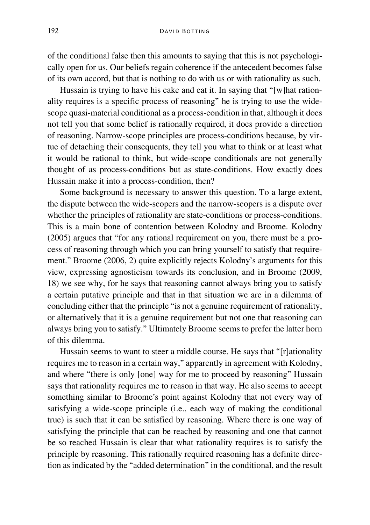of the conditional false then this amounts to saying that this is not psychologically open for us. Our beliefs regain coherence if the antecedent becomes false of its own accord, but that is nothing to do with us or with rationality as such.

Hussain is trying to have his cake and eat it. In saying that "[w]hat rationality requires is a specific process of reasoning" he is trying to use the widescope quasi-material conditional as a process-condition in that, although it does not tell you that some belief is rationally required, it does provide a direction of reasoning. Narrow-scope principles are process-conditions because, by virtue of detaching their consequents, they tell you what to think or at least what it would be rational to think, but wide-scope conditionals are not generally thought of as process-conditions but as state-conditions. How exactly does Hussain make it into a process-condition, then?

Some background is necessary to answer this question. To a large extent, the dispute between the wide-scopers and the narrow-scopers is a dispute over whether the principles of rationality are state-conditions or process-conditions. This is a main bone of contention between Kolodny and Broome. Kolodny (2005) argues that "for any rational requirement on you, there must be a process of reasoning through which you can bring yourself to satisfy that requirement." Broome (2006, 2) quite explicitly rejects Kolodny's arguments for this view, expressing agnosticism towards its conclusion, and in Broome (2009, 18) we see why, for he says that reasoning cannot always bring you to satisfy a certain putative principle and that in that situation we are in a dilemma of concluding either that the principle "is not a genuine requirement of rationality, or alternatively that it is a genuine requirement but not one that reasoning can always bring you to satisfy." Ultimately Broome seems to prefer the latter horn of this dilemma.

Hussain seems to want to steer a middle course. He says that "[r]ationality requires me to reason in a certain way," apparently in agreement with Kolodny, and where "there is only [one] way for me to proceed by reasoning" Hussain says that rationality requires me to reason in that way. He also seems to accept something similar to Broome's point against Kolodny that not every way of satisfying a wide-scope principle (i.e., each way of making the conditional true) is such that it can be satisfied by reasoning. Where there is one way of satisfying the principle that can be reached by reasoning and one that cannot be so reached Hussain is clear that what rationality requires is to satisfy the principle by reasoning. This rationally required reasoning has a definite direction as indicated by the "added determination" in the conditional, and the result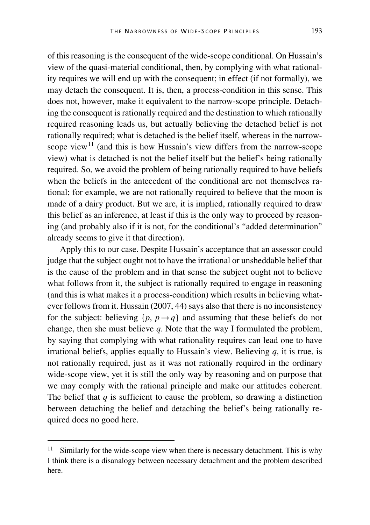of this reasoning is the consequent of the wide-scope conditional. On Hussain's view of the quasi-material conditional, then, by complying with what rationality requires we will end up with the consequent; in effect (if not formally), we may detach the consequent. It is, then, a process-condition in this sense. This does not, however, make it equivalent to the narrow-scope principle. Detaching the consequent is rationally required and the destination to which rationally required reasoning leads us, but actually believing the detached belief is not rationally required; what is detached is the belief itself, whereas in the narrow-scope view<sup>[11](#page-16-0)</sup> (and this is how Hussain's view differs from the narrow-scope view) what is detached is not the belief itself but the belief's being rationally required. So, we avoid the problem of being rationally required to have beliefs when the beliefs in the antecedent of the conditional are not themselves rational; for example, we are not rationally required to believe that the moon is made of a dairy product. But we are, it is implied, rationally required to draw this belief as an inference, at least if this is the only way to proceed by reasoning (and probably also if it is not, for the conditional's "added determination" already seems to give it that direction).

Apply this to our case. Despite Hussain's acceptance that an assessor could judge that the subject ought not to have the irrational or unsheddable belief that is the cause of the problem and in that sense the subject ought not to believe what follows from it, the subject is rationally required to engage in reasoning (and this is what makes it a process-condition) which results in believing whatever follows from it. Hussain (2007, 44) says also that there is no inconsistency for the subject: believing  $\{p, p \rightarrow q\}$  and assuming that these beliefs do not change, then she must believe *q*. Note that the way I formulated the problem, by saying that complying with what rationality requires can lead one to have irrational beliefs, applies equally to Hussain's view. Believing  $q$ , it is true, is not rationally required, just as it was not rationally required in the ordinary wide-scope view, yet it is still the only way by reasoning and on purpose that we may comply with the rational principle and make our attitudes coherent. The belief that  $q$  is sufficient to cause the problem, so drawing a distinction between detaching the belief and detaching the belief's being rationally required does no good here.

<span id="page-16-0"></span>Similarly for the wide-scope view when there is necessary detachment. This is why I think there is a disanalogy between necessary detachment and the problem described here.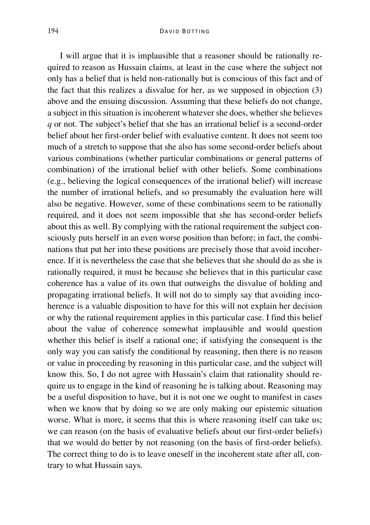I will argue that it is implausible that a reasoner should be rationally required to reason as Hussain claims, at least in the case where the subject not only has a belief that is held non-rationally but is conscious of this fact and of the fact that this realizes a disvalue for her, as we supposed in objection (3) above and the ensuing discussion. Assuming that these beliefs do not change, a subject in this situation is incoherent whatever she does, whether she believes *q* or not. The subject's belief that she has an irrational belief is a second-order belief about her first-order belief with evaluative content. It does not seem too much of a stretch to suppose that she also has some second-order beliefs about various combinations (whether particular combinations or general patterns of combination) of the irrational belief with other beliefs. Some combinations (e.g., believing the logical consequences of the irrational belief) will increase the number of irrational beliefs, and so presumably the evaluation here will also be negative. However, some of these combinations seem to be rationally required, and it does not seem impossible that she has second-order beliefs about this as well. By complying with the rational requirement the subject consciously puts herself in an even worse position than before; in fact, the combinations that put her into these positions are precisely those that avoid incoherence. If it is nevertheless the case that she believes that she should do as she is rationally required, it must be because she believes that in this particular case coherence has a value of its own that outweighs the disvalue of holding and propagating irrational beliefs. It will not do to simply say that avoiding incoherence is a valuable disposition to have for this will not explain her decision or why the rational requirement applies in this particular case. I find this belief about the value of coherence somewhat implausible and would question whether this belief is itself a rational one; if satisfying the consequent is the only way you can satisfy the conditional by reasoning, then there is no reason or value in proceeding by reasoning in this particular case, and the subject will know this. So, I do not agree with Hussain's claim that rationality should require us to engage in the kind of reasoning he is talking about. Reasoning may be a useful disposition to have, but it is not one we ought to manifest in cases when we know that by doing so we are only making our epistemic situation worse. What is more, it seems that this is where reasoning itself can take us; we can reason (on the basis of evaluative beliefs about our first-order beliefs) that we would do better by not reasoning (on the basis of first-order beliefs). The correct thing to do is to leave oneself in the incoherent state after all, contrary to what Hussain says.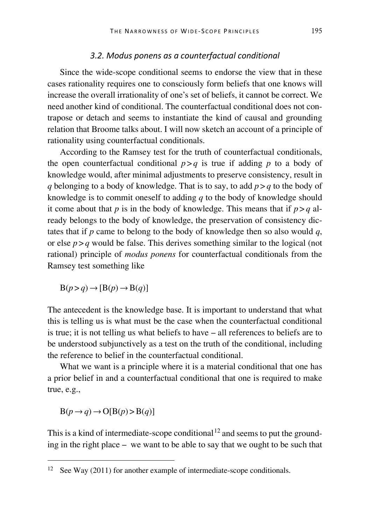#### *3.2. Modus ponens as a counterfactual conditional*

Since the wide-scope conditional seems to endorse the view that in these cases rationality requires one to consciously form beliefs that one knows will increase the overall irrationality of one's set of beliefs, it cannot be correct. We need another kind of conditional. The counterfactual conditional does not contrapose or detach and seems to instantiate the kind of causal and grounding relation that Broome talks about. I will now sketch an account of a principle of rationality using counterfactual conditionals.

According to the Ramsey test for the truth of counterfactual conditionals, the open counterfactual conditional  $p > q$  is true if adding p to a body of knowledge would, after minimal adjustments to preserve consistency, result in *q* belonging to a body of knowledge. That is to say, to add  $p > q$  to the body of knowledge is to commit oneself to adding *q* to the body of knowledge should it come about that *p* is in the body of knowledge. This means that if  $p > q$  already belongs to the body of knowledge, the preservation of consistency dictates that if *p* came to belong to the body of knowledge then so also would *q*, or else  $p > q$  would be false. This derives something similar to the logical (not rational) principle of *modus ponens* for counterfactual conditionals from the Ramsey test something like

$$
B(p > q) \rightarrow [B(p) \rightarrow B(q)]
$$

The antecedent is the knowledge base. It is important to understand that what this is telling us is what must be the case when the counterfactual conditional is true; it is not telling us what beliefs to have – all references to beliefs are to be understood subjunctively as a test on the truth of the conditional, including the reference to belief in the counterfactual conditional.

What we want is a principle where it is a material conditional that one has a prior belief in and a counterfactual conditional that one is required to make true, e.g.,

 $B(p \rightarrow q) \rightarrow O[B(p) > B(q)]$ 

This is a kind of intermediate-scope conditional  $12$  and seems to put the grounding in the right place – we want to be able to say that we ought to be such that

<span id="page-18-0"></span><sup>&</sup>lt;sup>12</sup> See Way (2011) for another example of intermediate-scope conditionals.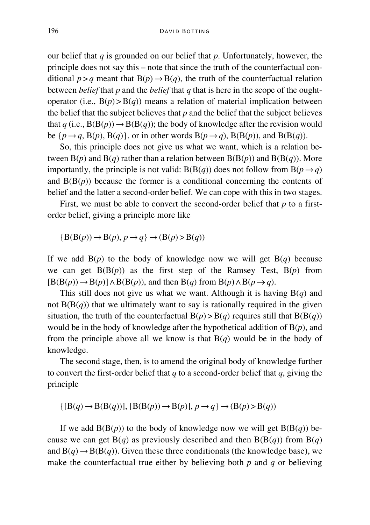our belief that *q* is grounded on our belief that *p*. Unfortunately, however, the principle does not say this – note that since the truth of the counterfactual conditional  $p > q$  meant that  $B(p) \rightarrow B(q)$ , the truth of the counterfactual relation between *belief* that *p* and the *belief* that *q* that is here in the scope of the oughtoperator (i.e.,  $B(p) > B(q)$ ) means a relation of material implication between the belief that the subject believes that *p* and the belief that the subject believes that  $q$  (i.e.,  $B(B(p)) \rightarrow B(B(q))$ ; the body of knowledge after the revision would be  $\{p \rightarrow q, B(p), B(q)\}$ , or in other words  $B(p \rightarrow q)$ ,  $B(B(p))$ , and  $B(B(q))$ .

So, this principle does not give us what we want, which is a relation between  $B(p)$  and  $B(q)$  rather than a relation between  $B(B(p))$  and  $B(B(q))$ . More importantly, the principle is not valid:  $B(B(q))$  does not follow from  $B(p \rightarrow q)$ and  $B(B(p))$  because the former is a conditional concerning the contents of belief and the latter a second-order belief. We can cope with this in two stages.

First, we must be able to convert the second-order belief that *p* to a firstorder belief, giving a principle more like

$$
{B(B(p)) \to B(p), p \to q} \to (B(p) > B(q))
$$

If we add  $B(p)$  to the body of knowledge now we will get  $B(q)$  because we can get  $B(B(p))$  as the first step of the Ramsey Test,  $B(p)$  from  $[B(B(p)) \rightarrow B(p)] \land B(B(p))$ , and then  $B(q)$  from  $B(p) \land B(p \rightarrow q)$ .

This still does not give us what we want. Although it is having B(*q*) and not  $B(B(q))$  that we ultimately want to say is rationally required in the given situation, the truth of the counterfactual  $B(p) > B(q)$  requires still that  $B(B(q))$ would be in the body of knowledge after the hypothetical addition of B(*p*), and from the principle above all we know is that  $B(q)$  would be in the body of knowledge.

The second stage, then, is to amend the original body of knowledge further to convert the first-order belief that *q* to a second-order belief that *q*, giving the principle

 $\{[B(q) \rightarrow B(B(q))], [B(B(p)) \rightarrow B(p)], p \rightarrow q\} \rightarrow (B(p) > B(q))$ 

If we add  $B(B(p))$  to the body of knowledge now we will get  $B(B(q))$  because we can get  $B(q)$  as previously described and then  $B(B(q))$  from  $B(q)$ and  $B(q) \rightarrow B(B(q))$ . Given these three conditionals (the knowledge base), we make the counterfactual true either by believing both *p* and *q* or believing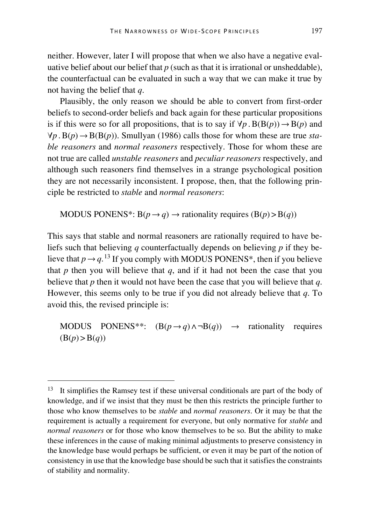neither. However, later I will propose that when we also have a negative evaluative belief about our belief that *p* (such as that it is irrational or unsheddable), the counterfactual can be evaluated in such a way that we can make it true by not having the belief that *q*.

Plausibly, the only reason we should be able to convert from first-order beliefs to second-order beliefs and back again for these particular propositions is if this were so for all propositions, that is to say if  $\forall p$ .  $B(B(p)) \rightarrow B(p)$  and  $∀p.B(p) → B(B(p))$ . Smullyan (1986) calls those for whom these are true *stable reasoners* and *normal reasoners* respectively. Those for whom these are not true are called *unstable reasoners* and *peculiar reasoners* respectively, and although such reasoners find themselves in a strange psychological position they are not necessarily inconsistent. I propose, then, that the following principle be restricted to *stable* and *normal reasoners*:

MODUS PONENS<sup>\*</sup>:  $B(p \rightarrow q) \rightarrow$  rationality requires  $(B(p) > B(q))$ 

This says that stable and normal reasoners are rationally required to have beliefs such that believing *q* counterfactually depends on believing *p* if they believe that  $p \rightarrow q$ .<sup>[13](#page-20-0)</sup> If you comply with MODUS PONENS<sup>\*</sup>, then if you believe that  $p$  then you will believe that  $q$ , and if it had not been the case that you believe that *p* then it would not have been the case that you will believe that *q*. However, this seems only to be true if you did not already believe that *q*. To avoid this, the revised principle is:

MODUS PONENS<sup>\*\*</sup>:  $(B(p \rightarrow q) \land \neg B(q)) \rightarrow$  rationality requires  $(B(p) > B(q))$ 

<span id="page-20-0"></span><sup>&</sup>lt;sup>13</sup> It simplifies the Ramsey test if these universal conditionals are part of the body of knowledge, and if we insist that they must be then this restricts the principle further to those who know themselves to be *stable* and *normal reasoners*. Or it may be that the requirement is actually a requirement for everyone, but only normative for *stable* and *normal reasoners* or for those who know themselves to be so. But the ability to make these inferences in the cause of making minimal adjustments to preserve consistency in the knowledge base would perhaps be sufficient, or even it may be part of the notion of consistency in use that the knowledge base should be such that it satisfies the constraints of stability and normality.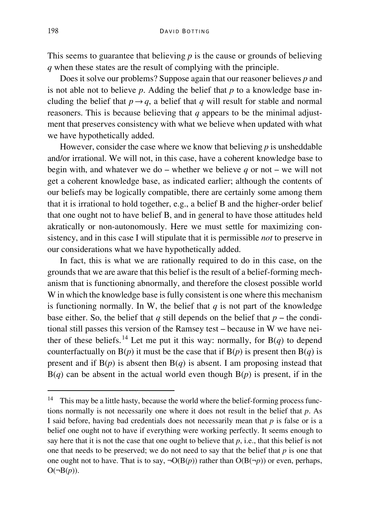This seems to guarantee that believing *p* is the cause or grounds of believing *q* when these states are the result of complying with the principle.

Does it solve our problems? Suppose again that our reasoner believes *p* and is not able not to believe  $p$ . Adding the belief that  $p$  to a knowledge base including the belief that  $p \rightarrow q$ , a belief that *q* will result for stable and normal reasoners. This is because believing that *q* appears to be the minimal adjustment that preserves consistency with what we believe when updated with what we have hypothetically added.

However, consider the case where we know that believing *p* is unsheddable and/or irrational. We will not, in this case, have a coherent knowledge base to begin with, and whatever we do – whether we believe *q* or not – we will not get a coherent knowledge base, as indicated earlier; although the contents of our beliefs may be logically compatible, there are certainly some among them that it is irrational to hold together, e.g., a belief B and the higher-order belief that one ought not to have belief B, and in general to have those attitudes held akratically or non-autonomously. Here we must settle for maximizing consistency, and in this case I will stipulate that it is permissible *not* to preserve in our considerations what we have hypothetically added.

In fact, this is what we are rationally required to do in this case, on the grounds that we are aware that this belief is the result of a belief-forming mechanism that is functioning abnormally, and therefore the closest possible world W in which the knowledge base is fully consistent is one where this mechanism is functioning normally. In W, the belief that  $q$  is not part of the knowledge base either. So, the belief that  $q$  still depends on the belief that  $p$  – the conditional still passes this version of the Ramsey test – because in W we have nei-ther of these beliefs.<sup>[14](#page-21-0)</sup> Let me put it this way: normally, for  $B(q)$  to depend counterfactually on  $B(p)$  it must be the case that if  $B(p)$  is present then  $B(q)$  is present and if  $B(p)$  is absent then  $B(q)$  is absent. I am proposing instead that  $B(q)$  can be absent in the actual world even though  $B(p)$  is present, if in the

<span id="page-21-0"></span><sup>&</sup>lt;sup>14</sup> This may be a little hasty, because the world where the belief-forming process functions normally is not necessarily one where it does not result in the belief that *p*. As I said before, having bad credentials does not necessarily mean that *p* is false or is a belief one ought not to have if everything were working perfectly. It seems enough to say here that it is not the case that one ought to believe that *p*, i.e., that this belief is not one that needs to be preserved; we do not need to say that the belief that *p* is one that one ought not to have. That is to say,  $\neg O(B(p))$  rather than  $O(B(\neg p))$  or even, perhaps,  $O(\neg B(p)).$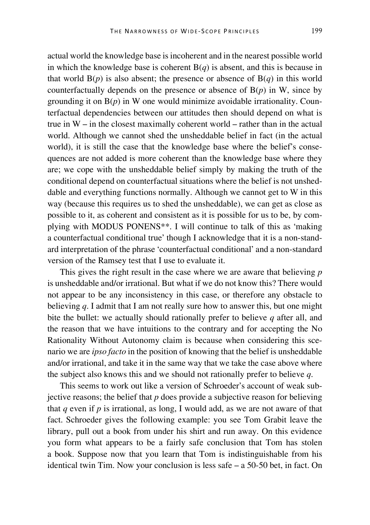actual world the knowledge base is incoherent and in the nearest possible world in which the knowledge base is coherent  $B(q)$  is absent, and this is because in that world  $B(p)$  is also absent; the presence or absence of  $B(q)$  in this world counterfactually depends on the presence or absence of  $B(p)$  in W, since by grounding it on  $B(p)$  in W one would minimize avoidable irrationality. Counterfactual dependencies between our attitudes then should depend on what is true in W – in the closest maximally coherent world – rather than in the actual world. Although we cannot shed the unsheddable belief in fact (in the actual world), it is still the case that the knowledge base where the belief's consequences are not added is more coherent than the knowledge base where they are; we cope with the unsheddable belief simply by making the truth of the conditional depend on counterfactual situations where the belief is not unsheddable and everything functions normally. Although we cannot get to W in this way (because this requires us to shed the unsheddable), we can get as close as possible to it, as coherent and consistent as it is possible for us to be, by complying with MODUS PONENS\*\*. I will continue to talk of this as 'making a counterfactual conditional true' though I acknowledge that it is a non-standard interpretation of the phrase 'counterfactual conditional' and a non-standard version of the Ramsey test that I use to evaluate it.

This gives the right result in the case where we are aware that believing *p*  is unsheddable and/or irrational. But what if we do not know this? There would not appear to be any inconsistency in this case, or therefore any obstacle to believing *q*. I admit that I am not really sure how to answer this, but one might bite the bullet: we actually should rationally prefer to believe *q* after all, and the reason that we have intuitions to the contrary and for accepting the No Rationality Without Autonomy claim is because when considering this scenario we are *ipso facto* in the position of knowing that the belief is unsheddable and/or irrational, and take it in the same way that we take the case above where the subject also knows this and we should not rationally prefer to believe *q*.

This seems to work out like a version of Schroeder's account of weak subjective reasons; the belief that  $p$  does provide a subjective reason for believing that *q* even if *p* is irrational, as long, I would add, as we are not aware of that fact. Schroeder gives the following example: you see Tom Grabit leave the library, pull out a book from under his shirt and run away. On this evidence you form what appears to be a fairly safe conclusion that Tom has stolen a book. Suppose now that you learn that Tom is indistinguishable from his identical twin Tim. Now your conclusion is less safe – a 50-50 bet, in fact. On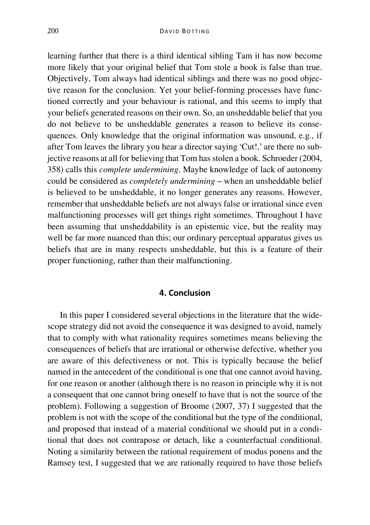learning further that there is a third identical sibling Tam it has now become more likely that your original belief that Tom stole a book is false than true. Objectively, Tom always had identical siblings and there was no good objective reason for the conclusion. Yet your belief-forming processes have functioned correctly and your behaviour is rational, and this seems to imply that your beliefs generated reasons on their own. So, an unsheddable belief that you do not believe to be unsheddable generates a reason to believe its consequences. Only knowledge that the original information was unsound, e.g., if after Tom leaves the library you hear a director saying 'Cut!,' are there no subjective reasons at all for believing that Tom has stolen a book. Schroeder (2004, 358) calls this *complete undermining*. Maybe knowledge of lack of autonomy could be considered as *completely undermining* – when an unsheddable belief is believed to be unsheddable, it no longer generates any reasons. However, remember that unsheddable beliefs are not always false or irrational since even malfunctioning processes will get things right sometimes. Throughout I have been assuming that unsheddability is an epistemic vice, but the reality may well be far more nuanced than this; our ordinary perceptual apparatus gives us beliefs that are in many respects unsheddable, but this is a feature of their proper functioning, rather than their malfunctioning.

#### **4. Conclusion**

In this paper I considered several objections in the literature that the widescope strategy did not avoid the consequence it was designed to avoid, namely that to comply with what rationality requires sometimes means believing the consequences of beliefs that are irrational or otherwise defective, whether you are aware of this defectiveness or not. This is typically because the belief named in the antecedent of the conditional is one that one cannot avoid having, for one reason or another (although there is no reason in principle why it is not a consequent that one cannot bring oneself to have that is not the source of the problem). Following a suggestion of Broome (2007, 37) I suggested that the problem is not with the scope of the conditional but the type of the conditional, and proposed that instead of a material conditional we should put in a conditional that does not contrapose or detach, like a counterfactual conditional. Noting a similarity between the rational requirement of modus ponens and the Ramsey test, I suggested that we are rationally required to have those beliefs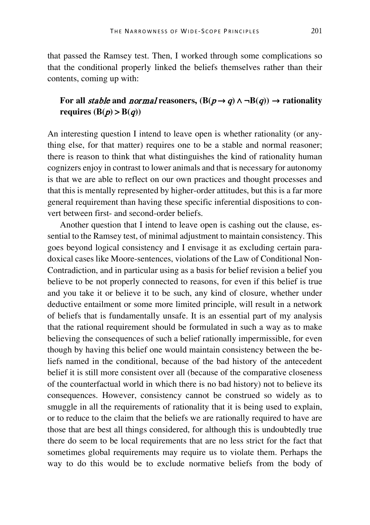that passed the Ramsey test. Then, I worked through some complications so that the conditional properly linked the beliefs themselves rather than their contents, coming up with:

# For all *stable* and *normal* reasoners,  $(B(p \rightarrow q) \land \neg B(q)) \rightarrow$  rationality requires  $(B(p) > B(q))$

An interesting question I intend to leave open is whether rationality (or anything else, for that matter) requires one to be a stable and normal reasoner; there is reason to think that what distinguishes the kind of rationality human cognizers enjoy in contrast to lower animals and that is necessary for autonomy is that we are able to reflect on our own practices and thought processes and that this is mentally represented by higher-order attitudes, but this is a far more general requirement than having these specific inferential dispositions to convert between first- and second-order beliefs.

Another question that I intend to leave open is cashing out the clause, essential to the Ramsey test, of minimal adjustment to maintain consistency. This goes beyond logical consistency and I envisage it as excluding certain paradoxical cases like Moore-sentences, violations of the Law of Conditional Non-Contradiction, and in particular using as a basis for belief revision a belief you believe to be not properly connected to reasons, for even if this belief is true and you take it or believe it to be such, any kind of closure, whether under deductive entailment or some more limited principle, will result in a network of beliefs that is fundamentally unsafe. It is an essential part of my analysis that the rational requirement should be formulated in such a way as to make believing the consequences of such a belief rationally impermissible, for even though by having this belief one would maintain consistency between the beliefs named in the conditional, because of the bad history of the antecedent belief it is still more consistent over all (because of the comparative closeness of the counterfactual world in which there is no bad history) not to believe its consequences. However, consistency cannot be construed so widely as to smuggle in all the requirements of rationality that it is being used to explain, or to reduce to the claim that the beliefs we are rationally required to have are those that are best all things considered, for although this is undoubtedly true there do seem to be local requirements that are no less strict for the fact that sometimes global requirements may require us to violate them. Perhaps the way to do this would be to exclude normative beliefs from the body of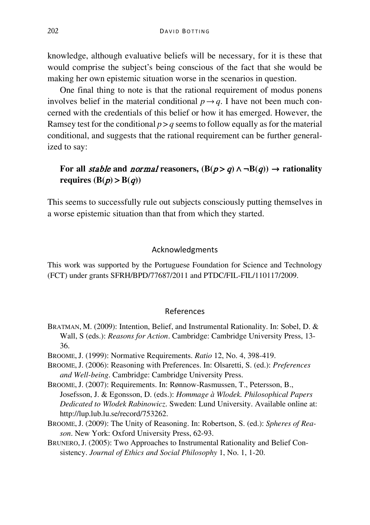knowledge, although evaluative beliefs will be necessary, for it is these that would comprise the subject's being conscious of the fact that she would be making her own epistemic situation worse in the scenarios in question.

One final thing to note is that the rational requirement of modus ponens involves belief in the material conditional  $p \rightarrow q$ . I have not been much concerned with the credentials of this belief or how it has emerged. However, the Ramsey test for the conditional  $p > q$  seems to follow equally as for the material conditional, and suggests that the rational requirement can be further generalized to say:

# For all *stable* and *normal* reasoners,  $(B(p > q) \land \neg B(q)) \rightarrow$  rationality **requires**  $(B(p) > B(q))$

This seems to successfully rule out subjects consciously putting themselves in a worse epistemic situation than that from which they started.

#### Acknowledgments

This work was supported by the Portuguese Foundation for Science and Technology (FCT) under grants SFRH/BPD/77687/2011 and PTDC/FIL-FIL/110117/2009.

### References

- BRATMAN, M. (2009): Intention, Belief, and Instrumental Rationality. In: Sobel, D. & Wall, S (eds.): *Reasons for Action*. Cambridge: Cambridge University Press, 13- 36.
- BROOME,J. (1999): Normative Requirements. *Ratio* 12, No. 4, 398-419.

BROOME,J. (2006): Reasoning with Preferences. In: Olsaretti, S. (ed.): *Preferences and Well-being*. Cambridge: Cambridge University Press.

BROOME,J. (2007): Requirements. In: Rønnow-Rasmussen, T., Petersson, B., Josefsson, J. & Egonsson, D. (eds.): *Hommage à Wlodek. Philosophical Papers Dedicated to Wlodek Rabinowicz*. Sweden: Lund University. Available online at: http://lup.lub.lu.se/record/753262.

BROOME,J. (2009): The Unity of Reasoning. In: Robertson, S. (ed.): *Spheres of Reason*. New York: Oxford University Press, 62-93.

BRUNERO,J. (2005): Two Approaches to Instrumental Rationality and Belief Consistency. *Journal of Ethics and Social Philosophy* 1, No. 1, 1-20.